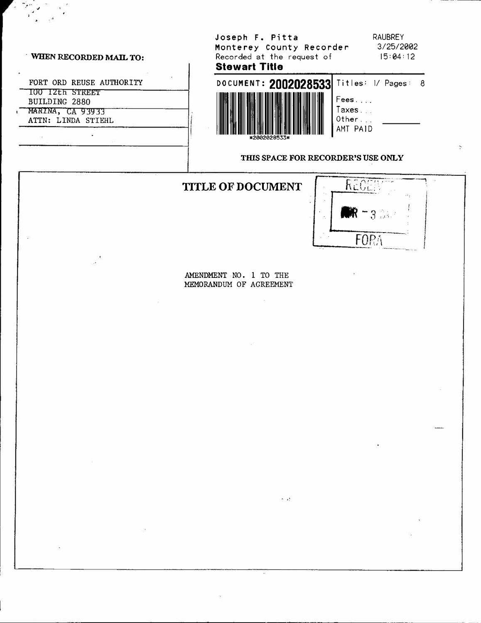#### WHEN RECORDED MAIL TO:

FORT ORD REUSE AUTHORITY TOO TZER STREET BUILDING 2880 MARINA, CA 93933 ATTN: LINDA STIEHL  $\mathbf{X}$ 

## Joseph F. Pitta Monterey County Recorder Recorded at the request of **Stewart Title**

**RAUBREY** 3/25/2002  $15:04:12$ 

 $\ddot{\phantom{0}}$ 



#### THIS SPACE FOR RECORDER'S USE ONLY



AMENDMENT NO. 1 TO THE MEMORANDUM OF AGREEMENT

 $\tau \rightarrow 1$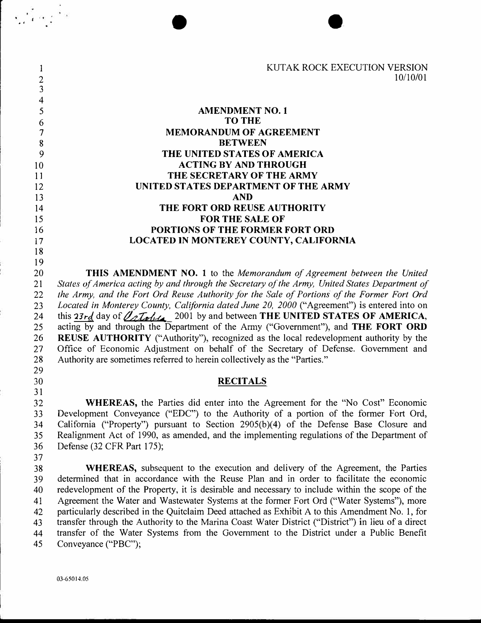I KUTAK ROCK EXECUTION VERSION<br>2 10/10/01 2 10/10/01 **3 4 5 AMENDMENT NO. 1 6 TO THE 7 MEMORANDUM OF AGREEMENT**  8 **BETWEEN 9 THE UNITED STATES OF AMERICA**  10 **ACTING BY AND THROUGH**  11 **THE SECRETARY OF THE ARMY**  12 **UNITED STATES DEPARTMENT OF THE ARMY** 13 **AND**  14 **THE FORT ORD REUSE AUTHORITY**  15 **FOR THE SALE OF**  16 **PORTIONS OF THE FORMER FORT ORD**  17 **LOCATED IN MONTEREY COUNTY, CALIFORNIA**  18 19 20 **THIS AMENDMENT NO. 1** to the *Memorandum of Agreement between the United*  21 *States of America acting by and through the Secretary of the Army, United States Department of*  22 *the Army, and the Fort Ord Reuse Authority for the Sale of Portions of the Former Fort Ord*  23 *located in Monterey County, California dated June 20, 2000* ("Agreement") is entered into on 24 this 23rd, day of  $\sqrt{2}L_1\sqrt{2}$  2001 by and between **THE UNITED STATES OF AMERICA**,<br>25 acting by and through the Department of the Army ("Government"), and **THE FORT ORD** acting by and through the Department of the Army ("Government"), and **THE FORT ORD** 26 **REUSE AUTHORITY** ("Authority"), recognized as the local redevelopment authority by the 27 Office of Economic Adjustment on behalf of the Secretary of Defense. Government and 28 Authority are sometimes referred to herein collectively as the "Parties." 29 30 **RECITALS**  31 32 **WHEREAS,** the Parties did enter into the Agreement for the "No Cost" Economic 33 Development Conveyance ("EDC") to the Authority of a portion of the former Fort Ord, 34 California ("Property") pursuant to Section 2905(b)(4) of the Defense Base Closure and 35 Realignment Act of 1990, as amended, and the implementing regulations of the Department of 36 Defense (32 CFR Part 175); 37 38 **WHEREAS,** subsequent to the execution and delivery of the Agreement, the Parties 39 determined that in accordance with the Reuse Plan and in order to facilitate the economic 40 redevelopment of the Property, it is desirable and necessary to include within the scope of the 41 Agreement the Water and Wastewater Systems at the former Fort Ord ("Water Systems"), more 42 particularly described in the Quitclaim Deed attached as Exhibit A to this Amendment No. I, for 43 transfer through the Authority to the Marina Coast Water District ("District") in lieu of a direct 44 transfer of the Water Systems from the Government to the District under a Public Benefit 45 Conveyance ("PBC");

 $\frac{1}{2}$   $\frac{1}{2}$   $\frac{1}{2}$   $\frac{1}{2}$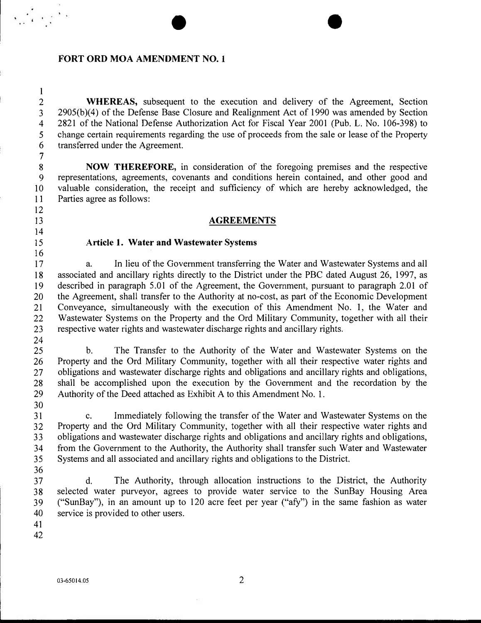#### **FORT ORD MOA AMENDMENT NO. 1**

2 **WHEREAS,** subsequent to the execution and delivery of the Agreement, Section 3 2905(b)(4) of the Defense Base Closure and Realignment Act of 1990 was amended by Section 4 2821 of the National Defense Authorization Act for Fiscal Year 2001 (Pub. L. No. 106-398) to 5 change certain requirements regarding the use of proceeds from the sale or lease of the Property 6 transferred under the Agreement.

 $\bullet$ 

8 **NOW THEREFORE,** in consideration of the foregoing premises and the respective 9 representations, agreements, covenants and conditions herein contained, and other good and IO valuable consideration, the receipt and sufficiency of which are hereby acknowledged, the 11 Parties agree as follows:

## 13 **AGREEMENTS**

#### 15 **Article** 1. **Water and Wastewater Systems**

17 a. In lieu of the Government transferring the Water and Wastewater Systems and all 18 associated and ancillary rights directly to the District under the PBC dated August 26, 1997, as 19 described in paragraph 5.01 of the Agreement, the Government, pursuant to paragraph 2.01 of 20 the Agreement, shall transfer to the Authority at no-cost, as part of the Economic Development 21 Conveyance, simultaneously with the execution of this Amendment No. I, the Water and 22 Wastewater Systems on the Property and the Ord Military Community, together with all their 23 respective water rights and wastewater discharge rights and ancillary rights.

24

I

 $\label{eq:2} \mathbf{x} = \frac{\mathbf{x}^2}{\mathbf{x}^2} + \mathbf{y} = \frac{\mathbf{x}^2}{\mathbf{x}^2}$ 

7

12

14

16

30

25 b. The Transfer to the Authority of the Water and Wastewater Systems on the 26 Property and the Ord Military Community, together with all their respective water rights and 27 obligations and wastewater discharge rights and obligations and ancillary rights and obligations, 28 shall be accomplished upon the execution by the Government and the recordation by the 29 Authority of the Deed attached as Exhibit A to this Amendment No. I.

31 c. Immediately following the transfer of the Water and Wastewater Systems on the 32 Property and the Ord Military Community, together with all their respective water rights and 33 obligations and wastewater discharge rights and obligations and ancillary rights and obligations, 34 from the Government to the Authority, the Authority shall transfer such Water and Wastewater 35 Systems and all associated and ancillary rights and obligations to the District.

36

37 d. The Authority, through allocation instructions to the District, the Authority 38 selected water purveyor, agrees to provide water service to the SunBay Housing Area 39 ("SunBay"), in an amount up to 120 acre feet per year ("afy") in the same fashion as water 40 service is provided to other users.

41 42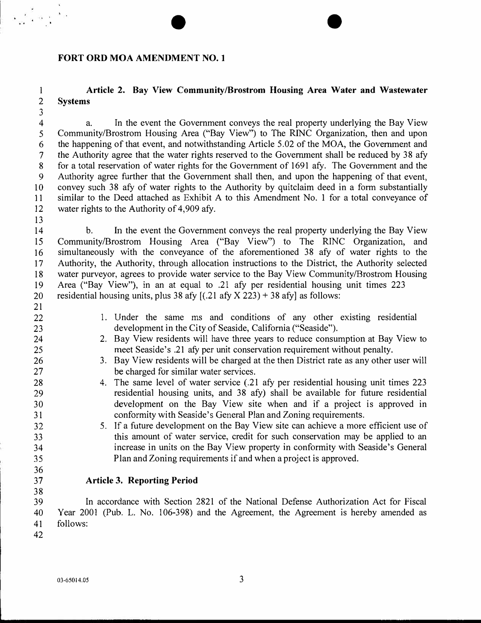## **FORT ORD MOA AMENDMENT NO. 1**

# **I Article 2. Bay View Community/Brostrom Housing Area Water and Wastewater**  2 **Systems**

 $\bullet$   $\bullet$ 

4 a. In the event the Government conveys the real property underlying the Bay View 5 Community/Brostrom Housing Area ("Bay View") to The RINC Organization, then and upon 6 the happening of that event, and notwithstanding Article 5.02 of the MOA, the Government and 7 the Authority agree that the water rights reserved to the Government shall be reduced by 38 afy 8 for a total reservation of water rights for the Government of 1691 afy. The Government and the 9 Authority agree further that the Government shall then, and upon the happening of that event, IO convey such 38 afy of water rights to the Authority by quitclaim deed in a form substantially 11 similar to the Deed attached as Exhibit A to this Amendment No. I for a total conveyance of 12 water rights to the Authority of 4,909 afy.

14 b. In the event the Government conveys the real property underlying the Bay View 15 Community/Brostrom Housing Area ("Bay View") to The RINC Organization, and 16 simultaneously with the conveyance of the aforementioned 38 afy of water rights to the 17 Authority, the Authority, through allocation instructions to the District, the Authority selected 18 water purveyor, agrees to provide water service to the Bay View Community/Brostrom Housing 19 Area ("Bay View"), in an at equal to .21 afy per residential housing unit times 223 20 residential housing units, plus 38 afy [(.21 afy X 223) + 38 afy] as follows:

21

13

3

 $\frac{1}{2}\left(\frac{1}{2}\right)\log\left(\frac{1}{2}\right)$ 

- 22 I . Under the same ms and conditions of any other existing residential 23 development in the City of Seaside, California ("Seaside").
- 24 2. Bay View residents will have three years to reduce consumption at Bay View to 25 meet Seaside's .21 afy per unit conservation requirement without penalty.
- 26 3. Bay View residents will be charged at the then District rate as any other user will 27 be charged for similar water services.
- 28 4. The same level of water service (.21 afy per residential housing unit times 223 29 residential housing units, and 38 afy) shall be available for future residential 30 development on the Bay View site when and if a project is approved in 31 conformity with Seaside's General Plan and Zoning requirements.
- 32 5. If a future development on the Bay View site can achieve a more efficient use of 33 this amount of water service, credit for such conservation may be applied to an 34 increase in units on the Bay View property in conformity with Seaside's General 35 Plan and Zoning requirements if and when a project is approved.
- 37 **Article 3. Reporting Period**

38<br>39 In accordance with Section 2821 of the National Defense Authorization Act for Fiscal 40 Year 2001 (Pub. L. No. 106-398) and the Agreement, the Agreement is hereby amended as 41 follows:

42

36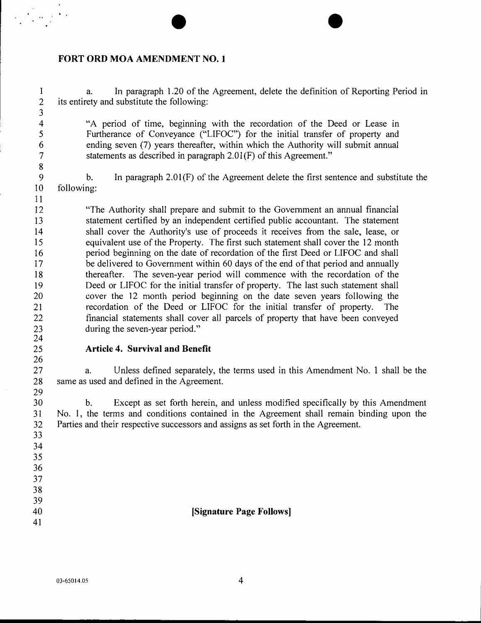## **FORT ORD MOA AMENDMENT NO. I**

I 2 3 4 5 6 7 8 9 10 11 12 13 14 15 16 17 18 19 20 21 22 23 24 25 26 27 28 29 30 31 32 33 34 35 36 37 38 39 40 41 a. In paragraph 1.20 of the Agreement, delete the definition of Reporting Period in its entirety and substitute the following: "A period of time, beginning with the recordation of the Deed or Lease in Furtherance of Conveyance ("LIFOC") for the initial transfer of property and ending seven (7) years thereafter, within which the Authority will submit annual statements as described in paragraph 2.0l(F) of this Agreement." b. In paragraph  $2.01$ (F) of the Agreement delete the first sentence and substitute the following: "The Authority shall prepare and submit to the Government an annual financial statement certified by an independent certified public accountant. The statement shall cover the Authority's use of proceeds it receives from the sale, lease, or equivalent use of the Property. The first such statement shall cover the 12 month period beginning on the date of recordation of the first Deed or LIFOC and shall be delivered to Government within 60 days of the end of that period and annually thereafter. The seven-year period will commence with the recordation of the Deed or LIFOC for the initial transfer of property. The last such statement shall cover the 12 month period beginning on the date seven years following the recordation of the Deed or LIFOC for the initial transfer of property. The financial statements shall cover all parcels of property that have been conveyed during the seven-year period." **Article 4. Survival and Benefit**  a. Unless defined separately, the terms used in this Amendment No. I shall be the same as used and defined in the Agreement. b. Except as set forth herein, and unless modified specifically by this Amendment No. l, the terms and conditions contained in the Agreement shall remain binding upon the Parties and their respective successors and assigns as set forth in the Agreement. **[Signature Page Follows]** 

 $\bullet$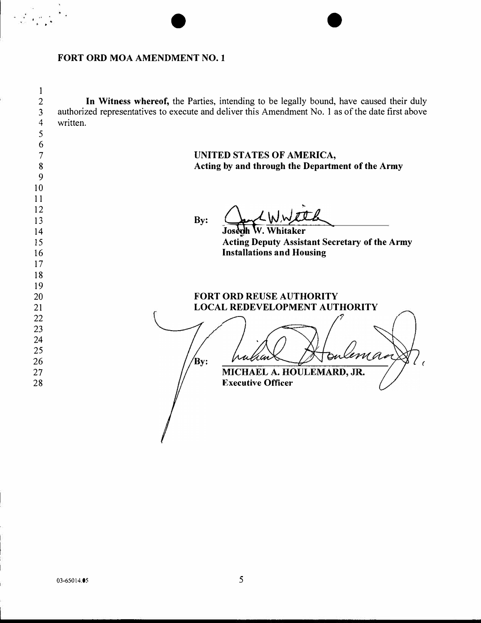## **FORT ORD MOA AMENDMENT NO. 1**

 $\ddot{\cdot}$ .

I In Witness whereof, the Parties, intending to be legally bound, have caused their duly 2 authorized representatives to execute and deliver this Amendment No. I as of the date first above 3 4 written. 5 6 **UNITED STATES OF AMERICA,**  7 **Acting by and through the Department of the Army**  8 9 10 11 12 By: <u>Jacob W.W.L.</u> 13 14 15 **Acting Deputy Assistant Secretary of the Army Installations and Housing**  16 17 18 19 **FORT ORD REUSE AUTHORITY**  20 21 **LOCAL REDEVELOPMENT AUTHORITY**  22 23 24 25 'ema Bv: 26 *(* MICHAEL A. HOULEMARD, JR. 27 **Executive Officer**  28

 $\bullet$   $\bullet$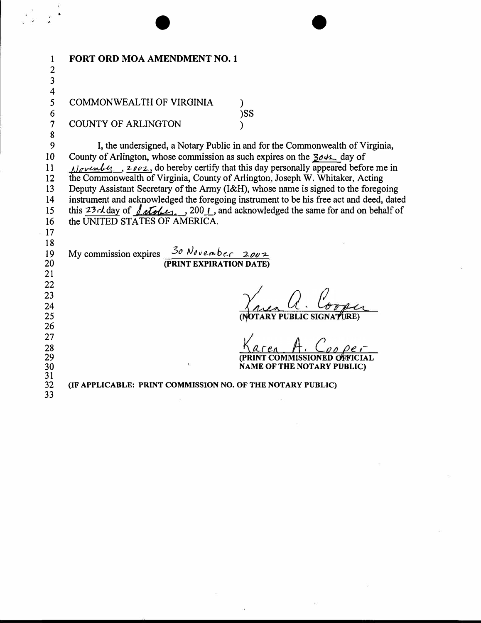| $\mathbf{1}$            | FORT ORD MOA AMENDMENT NO. 1                                                                                                            |
|-------------------------|-----------------------------------------------------------------------------------------------------------------------------------------|
|                         |                                                                                                                                         |
| $\frac{2}{3}$           |                                                                                                                                         |
| $\overline{\mathbf{4}}$ |                                                                                                                                         |
| 5                       | COMMONWEALTH OF VIRGINIA                                                                                                                |
| 6                       | )SS                                                                                                                                     |
| $\overline{7}$          | <b>COUNTY OF ARLINGTON</b>                                                                                                              |
| 8                       |                                                                                                                                         |
| 9                       | I, the undersigned, a Notary Public in and for the Commonwealth of Virginia,                                                            |
| 10                      | County of Arlington, whose commission as such expires on the $304\text{L}$ day of                                                       |
| 11                      | $\Delta$ over $\mu$ , $\mu$ , $\mu$ over $\mu$ , do hereby certify that this day personally appeared before me in                       |
| 12                      | the Commonwealth of Virginia, County of Arlington, Joseph W. Whitaker, Acting                                                           |
| 13                      | Deputy Assistant Secretary of the Army (I&H), whose name is signed to the foregoing                                                     |
| 14                      | instrument and acknowledged the foregoing instrument to be his free act and deed, dated                                                 |
| 15                      | this $23 \times$ day of $f(x) = 200$ . and acknowledged the same for and on behalf of                                                   |
| 16                      | the UNITED STATES OF AMERICA.                                                                                                           |
| 17                      |                                                                                                                                         |
| 18                      |                                                                                                                                         |
| 19                      | My commission expires $\frac{3\sigma \, \mathcal{N}_{\delta \nu e m} b_{e \Gamma} \, 2 \rho \nu \gamma}{\text{(PRINT EXPIATION DATE)}}$ |
| 20                      |                                                                                                                                         |
| 21                      |                                                                                                                                         |
| 22                      |                                                                                                                                         |
| 23                      |                                                                                                                                         |
| 24                      |                                                                                                                                         |
| 25                      | (NOTARY PUBLIC SIGNA                                                                                                                    |
| 26                      |                                                                                                                                         |
| 27                      | $\Lambda$ $\Omega$                                                                                                                      |
| 28<br>29                | (PRINT COMMISSIONED OFFICIAL                                                                                                            |
|                         | <b>NAME OF THE NOTARY PUBLIC)</b>                                                                                                       |
| $\frac{30}{31}$         |                                                                                                                                         |
| 32                      | (IF APPLICABLE: PRINT COMMISSION NO. OF THE NOTARY PUBLIC)                                                                              |
| 33                      |                                                                                                                                         |

 $\sim$ 

 $\pm 0$ 

 $\widetilde{\mathbf{c}}$ 

 $\widetilde{\omega}$ 

 $\tilde{\nu}$ 

 $\frac{1}{2}$   $\frac{1}{2}$